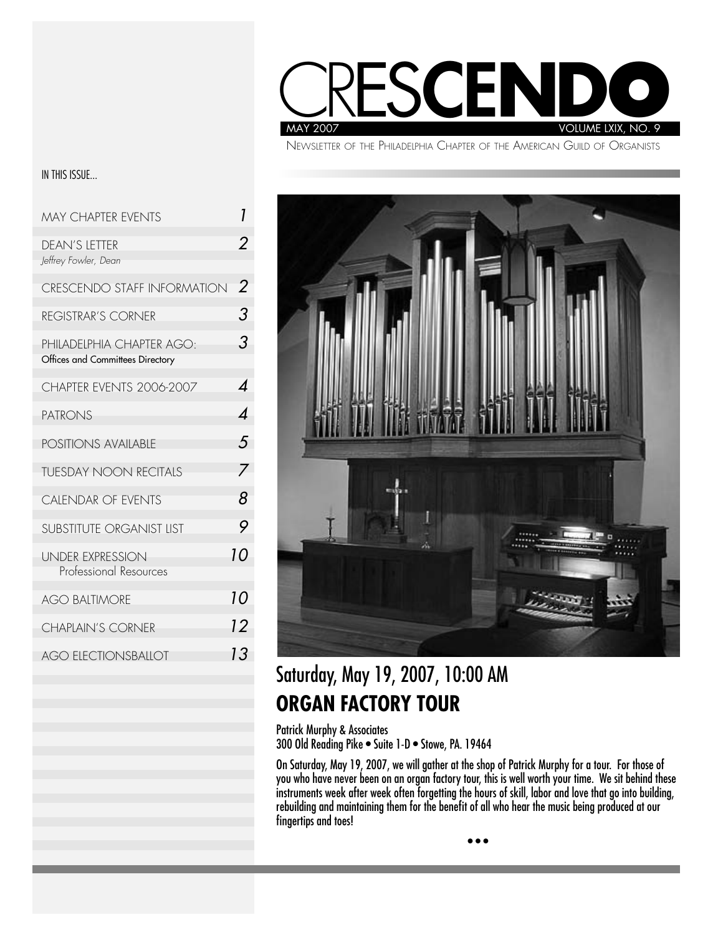

NEWSLETTER OF THE PHILADELPHIA CHAPTER OF THE AMERICAN GUILD OF ORGANISTS

#### IN THIS ISSUE...

| <b>MAY CHAPTER EVENTS</b>                                     | 1  |
|---------------------------------------------------------------|----|
| <b>DEAN'S LETTER</b><br>Jeffrey Fowler, Dean                  |    |
| CRESCENDO STAFF INFORMATION                                   | 2  |
| <b>REGISTRAR'S CORNER</b>                                     | 3  |
| PHILADELPHIA CHAPTER AGO:<br>Offices and Committees Directory | 3  |
| CHAPTER EVENTS 2006-2007                                      | 4  |
| <b>PATRONS</b>                                                | Δ  |
| <b>POSITIONS AVAILABLE</b>                                    | 5  |
| <b>TUESDAY NOON RECITALS</b>                                  | 7  |
| <b>CALENDAR OF EVENTS</b>                                     | 8  |
| <b>SUBSTITUTE ORGANIST LIST</b>                               | 9  |
| <b>UNDER EXPRESSION</b><br>Professional Resources             | 10 |
| <b>AGO BALTIMORE</b>                                          | 10 |
| <b>CHAPLAIN'S CORNER</b>                                      | 12 |
| <b>AGO ELECTIONSBALLOT</b>                                    | 13 |
|                                                               |    |



## Saturday, May 19, 2007, 10:00 AM **ORGAN FACTORY TOUR**

Patrick Murphy & Associates 300 Old Reading Pike • Suite 1-D • Stowe, PA. 19464

On Saturday, May 19, 2007, we will gather at the shop of Patrick Murphy for a tour. For those of you who have never been on an organ factory tour, this is well worth your time. We sit behind these instruments week after week often forgetting the hours of skill, labor and love that go into building, rebuilding and maintaining them for the benefit of all who hear the music being produced at our fingertips and toes!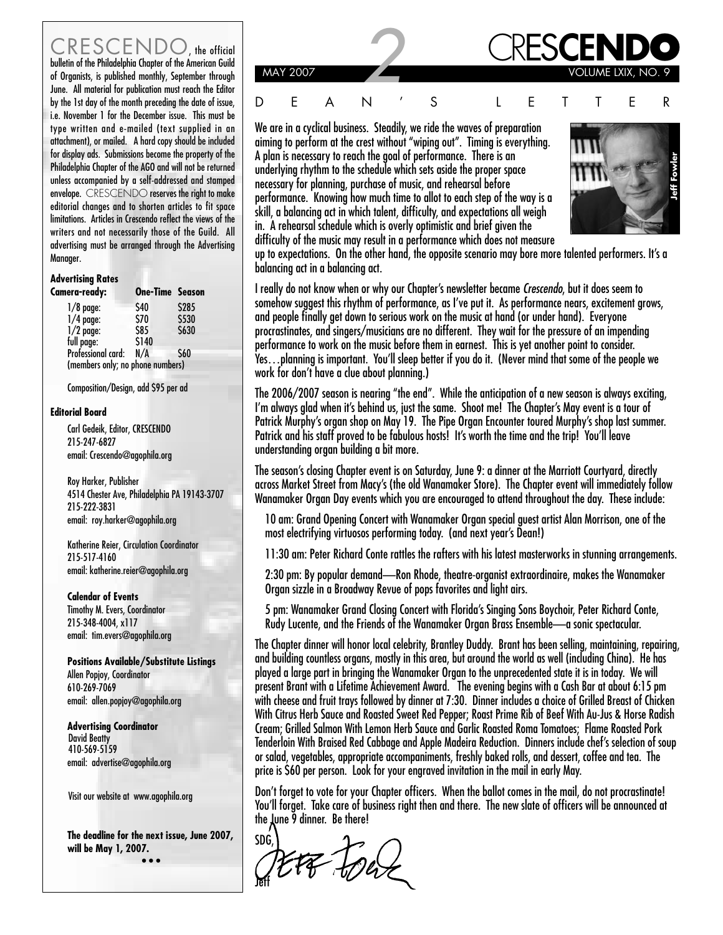CRESCENDO the official bulletin of the Philadelphia Chapter of the American Guild , the official CRES**CENDO** of Organists, is published monthly, September through June. All material for publication must reach the Editor by the 1st day of the month preceding the date of issue, i.e. November 1 for the December issue. This must be type written and e-mailed (text supplied in an attachment), or mailed. A hard copy should be included for display ads. Submissions become the property of the Philadelphia Chapter of the AGO and will not be returned unless accompanied by a self-addressed and stamped envelope. CRESCENDO reserves the right to make editorial changes and to shorten articles to fit space limitations. Articles in Crescendo reflect the views of the writers and not necessarily those of the Guild. All advertising must be arranged through the Advertising Manager.

#### **Advertising Rates**

| <b>Camera-ready:</b>             | <b>One-Time Season</b> |       |
|----------------------------------|------------------------|-------|
| $1/8$ page:                      | \$40                   | \$285 |
| $1/4$ page:                      | \$70                   | \$530 |
| $1/2$ page:                      | \$85                   | \$630 |
| full page:                       | \$140                  |       |
| Professional card:               | N/A                    | \$60  |
| (members only; no phone numbers) |                        |       |

Composition/Design, add \$95 per ad

#### **Editorial Board**

Carl Gedeik, Editor, CRESCENDO 215-247-6827 email: Crescendo@agophila.org

Roy Harker, Publisher 4514 Chester Ave, Philadelphia PA 19143-3707 215-222-3831 email: roy.harker@agophila.org

Katherine Reier, Circulation Coordinator 215-517-4160 email: katherine.reier@agophila.org

**Calendar of Events**

Timothy M. Evers, Coordinator 215-348-4004, x117 email: tim.evers@agophila.org

**Positions Available/Substitute Listings** Allen Popjoy, Coordinator 610-269-7069 email: allen.popjoy@agophila.org

**Advertising Coordinator** David Beatty 410-569-5159 email: advertise@agophila.org

Visit our website at www.agophila.org

**The deadline for the next issue, June 2007, will be May 1, 2007. • • •**



We are in a cyclical business. Steadily, we ride the waves of preparation aiming to perform at the crest without "wiping out". Timing is everything. A plan is necessary to reach the goal of performance. There is an underlying rhythm to the schedule which sets aside the proper space necessary for planning, purchase of music, and rehearsal before performance. Knowing how much time to allot to each step of the way is a skill, a balancing act in which talent, difficulty, and expectations all weigh in. A rehearsal schedule which is overly optimistic and brief given the difficulty of the music may result in a performance which does not measure



up to expectations. On the other hand, the opposite scenario may bore more talented performers. It's a balancing act in a balancing act.

I really do not know when or why our Chapter's newsletter became **Crescendo**, but it does seem to somehow suggest this rhythm of performance, as I've put it. As performance nears, excitement grows, and people finally get down to serious work on the music at hand (or under hand). Everyone procrastinates, and singers/musicians are no different. They wait for the pressure of an impending performance to work on the music before them in earnest. This is yet another point to consider. Yes…planning is important. You'll sleep better if you do it. (Never mind that some of the people we work for don't have a clue about planning.)

The 2006/2007 season is nearing "the end". While the anticipation of a new season is always exciting, I'm always glad when it's behind us, just the same. Shoot me! The Chapter's May event is a tour of Patrick Murphy's organ shop on May 19. The Pipe Organ Encounter toured Murphy's shop last summer. Patrick and his staff proved to be fabulous hosts! It's worth the time and the trip! You'll leave understanding organ building a bit more.

The season's closing Chapter event is on Saturday, June 9: a dinner at the Marriott Courtyard, directly across Market Street from Macy's (the old Wanamaker Store). The Chapter event will immediately follow Wanamaker Organ Day events which you are encouraged to attend throughout the day. These include:

10 am: Grand Opening Concert with Wanamaker Organ special guest artist Alan Morrison, one of the most electrifying virtuosos performing today. (and next year's Dean!)

11:30 am: Peter Richard Conte rattles the rafters with his latest masterworks in stunning arrangements.

2:30 pm: By popular demand—Ron Rhode, theatre-organist extraordinaire, makes the Wanamaker Organ sizzle in a Broadway Revue of pops favorites and light airs.

5 pm: Wanamaker Grand Closing Concert with Florida's Singing Sons Boychoir, Peter Richard Conte, Rudy Lucente, and the Friends of the Wanamaker Organ Brass Ensemble—a sonic spectacular.

The Chapter dinner will honor local celebrity, Brantley Duddy. Brant has been selling, maintaining, repairing, and building countless organs, mostly in this area, but around the world as well (including China). He has played a large part in bringing the Wanamaker Organ to the unprecedented state it is in today. We will present Brant with a Lifetime Achievement Award. The evening begins with a Cash Bar at about 6:15 pm with cheese and fruit trays followed by dinner at 7:30. Dinner includes a choice of Grilled Breast of Chicken With Citrus Herb Sauce and Roasted Sweet Red Pepper; Roast Prime Rib of Beef With Au-Jus & Horse Radish Cream; Grilled Salmon With Lemon Herb Sauce and Garlic Roasted Roma Tomatoes; Flame Roasted Pork Tenderloin With Braised Red Cabbage and Apple Madeira Reduction. Dinners include chef's selection of soup or salad, vegetables, appropriate accompaniments, freshly baked rolls, and dessert, coffee and tea. The price is \$60 per person. Look for your engraved invitation in the mail in early May.

Don't forget to vote for your Chapter officers. When the ballot comes in the mail, do not procrastinate! You'll forget. Take care of business right then and there. The new slate of officers will be announced at the June 9 dinner. Be there!

SDG, FF FOW Jeff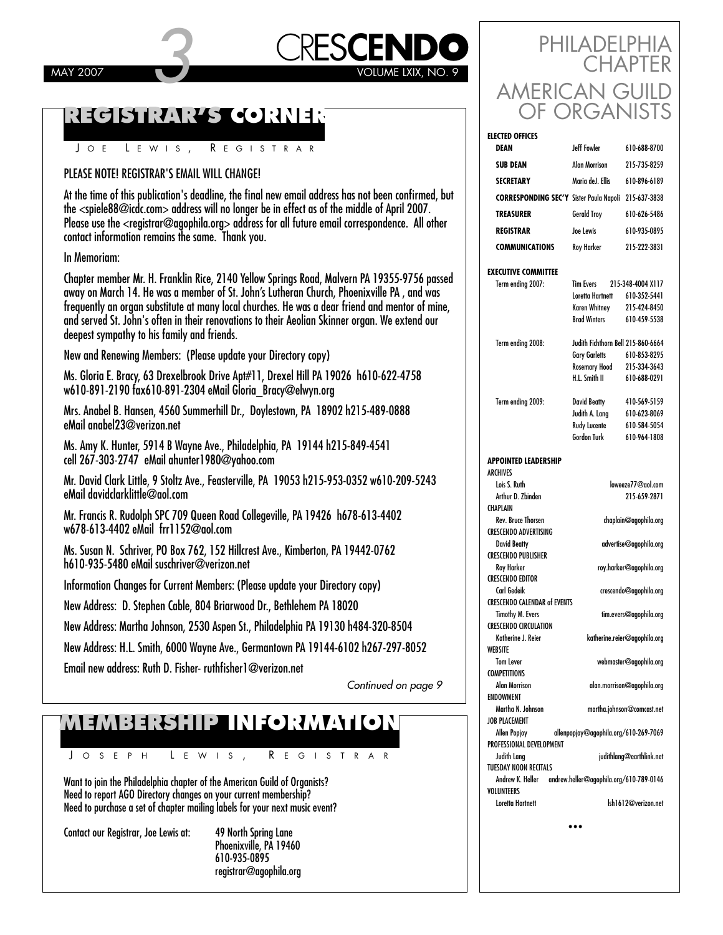# CRES**CENDO** PHILADELPHIA MAY 2007 **CRESCENDO**

### **REGISTRAR'S CORNER**

J O E L EWIS , R EGISTRAR

### PLEASE NOTE! REGISTRAR'S EMAIL WILL CHANGE!

At the time of this publication's deadline, the final new email address has not been confirmed, but the <spiele88@icdc.com> address will no longer be in effect as of the middle of April 2007. Please use the <registrar@agophila.org> address for all future email correspondence. All other contact information remains the same. Thank you.

#### In Memoriam:

Chapter member Mr. H. Franklin Rice, 2140 Yellow Springs Road, Malvern PA 19355-9756 passed away on March 14. He was a member of St. John's Lutheran Church, Phoenixville PA , and was frequently an organ substitute at many local churches. He was a dear friend and mentor of mine, and served St. John's often in their renovations to their Aeolian Skinner organ. We extend our deepest sympathy to his family and friends.

New and Renewing Members: (Please update your Directory copy)

Ms. Gloria E. Bracy, 63 Drexelbrook Drive Apt#11, Drexel Hill PA 19026 h610-622-4758 w610-891-2190 fax610-891-2304 eMail Gloria\_Bracy@elwyn.org

Mrs. Anabel B. Hansen, 4560 Summerhill Dr., Doylestown, PA 18902 h215-489-0888 eMail anabel23@verizon.net

Ms. Amy K. Hunter, 5914 B Wayne Ave., Philadelphia, PA 19144 h215-849-4541 cell 267-303-2747 eMail ahunter1980@yahoo.com

Mr. David Clark Little, 9 Stoltz Ave., Feasterville, PA 19053 h215-953-0352 w610-209-5243 eMail davidclarklittle@aol.com

Mr. Francis R. Rudolph SPC 709 Queen Road Collegeville, PA 19426 h678-613-4402 w678-613-4402 eMail frr1152@aol.com

Ms. Susan N. Schriver, PO Box 762, 152 Hillcrest Ave., Kimberton, PA 19442-0762 h610-935-5480 eMail suschriver@verizon.net

Information Changes for Current Members: (Please update your Directory copy)

New Address: D. Stephen Cable, 804 Briarwood Dr., Bethlehem PA 18020

New Address: Martha Johnson, 2530 Aspen St., Philadelphia PA 19130 h484-320-8504

New Address: H.L. Smith, 6000 Wayne Ave., Germantown PA 19144-6102 h267-297-8052

Email new address: Ruth D. Fisher- ruthfisher1@verizon.net

Continued on page 9

## **MEMBERSHIP INFORMATION**

J OSEPH L EWIS , R EGISTRAR

Want to join the Philadelphia chapter of the American Guild of Organists? Need to report AGO Directory changes on your current membership? Need to purchase a set of chapter mailing labels for your next music event?

Contact our Registrar, Joe Lewis at: 49 North Spring Lane

Phoenixville, PA 19460 610-935-0895 registrar@agophila.org

| PHILADELPHIA<br><b>CHAPTER</b> |
|--------------------------------|
| AMERICAN GUILD<br>OF ORGANISTS |

| <b>ELECTED OFFICES</b>                                  |                                             |                                   |
|---------------------------------------------------------|---------------------------------------------|-----------------------------------|
| DEAN                                                    | leff Fowler                                 | 610-688-8700                      |
| <b>SUB DEAN</b>                                         | <b>Alan Morrison</b>                        | 215-735-8259                      |
| <b>SECRETARY</b>                                        | Maria deJ. Ellis                            | 610-896-6189                      |
| <b>CORRESPONDING SEC'Y Sister Paula Napoli</b>          |                                             | 215-637-3838                      |
| <b>TREASURER</b>                                        | <b>Gerald Troy</b>                          | 610-626-5486                      |
| <b>REGISTRAR</b>                                        | Joe Lewis                                   | 610-935-0895                      |
| <b>COMMUNICATIONS</b>                                   | Roy Harker                                  | 215-222-3831                      |
|                                                         |                                             |                                   |
| <b>EXECUTIVE COMMITTEE</b>                              |                                             |                                   |
| Term ending 2007:                                       | <b>Tim Evers</b>                            | 215-348-4004 X117                 |
|                                                         | Loretta Hartnett                            | 610-352-5441                      |
|                                                         | <b>Karen Whitney</b><br><b>Brad Winters</b> | 215-424-8450<br>610-459-5538      |
|                                                         |                                             |                                   |
| Term ending 2008:                                       | Judith Fichthorn Bell 215-860-6664          |                                   |
|                                                         | <b>Gary Garletts</b>                        | 610-853-8295                      |
|                                                         | Rosemary Hood                               | 215-334-3643                      |
|                                                         | H.L. Smith II                               | 610-688-0291                      |
|                                                         |                                             |                                   |
| Term ending 2009:                                       | <b>David Beatty</b><br>Judith A. Lang       | 410-569-5159<br>610-623-8069      |
|                                                         | Rudy Lucente                                | 610-584-5054                      |
|                                                         | <b>Gordon Turk</b>                          | 610-964-1808                      |
| <b>APPOINTED LEADERSHIP</b><br>ARCHIVES<br>Lois S. Ruth |                                             |                                   |
| Arthur D. Zbinden                                       |                                             | loweeze77@aol.com<br>215-659-2871 |
|                                                         |                                             |                                   |
| CHAPLAIN                                                |                                             |                                   |
| <b>Rev. Bruce Thorsen</b>                               |                                             | chaplain@agophila.org             |
| <b>CRESCENDO ADVERTISING</b>                            |                                             |                                   |
| <b>David Beatty</b>                                     |                                             | advertise@agophila.org            |
| <b>CRESCENDO PUBLISHER</b>                              |                                             |                                   |
| Roy Harker<br><b>CRESCENDO EDITOR</b>                   |                                             | roy.harker@agophila.org           |
| Carl Gedeik                                             |                                             | crescendo@agophila.org            |
| <b>CRESCENDO CALENDAR of EVENTS</b>                     |                                             |                                   |
| <b>Timothy M. Evers</b>                                 |                                             | tim.evers@agophila.org            |
| <b>CRESCENDO CIRCULATION</b>                            |                                             |                                   |
| Katherine J. Reier                                      |                                             | katherine.reier@agophila.org      |
| WEBSITE<br><b>Tom Lever</b>                             |                                             | webmaster@agophila.org            |
| <b>COMPETITIONS</b>                                     |                                             |                                   |
| Alan Morrison                                           |                                             | alan.morrison@agophila.org        |
| <b>ENDOWMENT</b>                                        |                                             |                                   |
| Martha N. Johnson                                       |                                             | martha.johnson@comcast.net        |
| <b>JOB PLACEMENT</b>                                    |                                             |                                   |
| <b>Allen Popjoy</b><br>PROFESSIONAL DEVELOPMENT         | allenpopjoy@agophila.org/610-269-7069       |                                   |
| Judith Lang                                             |                                             | judithlang@earthlink.net          |
| <b>TUESDAY NOON RECITALS</b>                            |                                             |                                   |
| Andrew K. Heller                                        | andrew.heller@agophila.org/610-789-0146     |                                   |
| VOLUNTEERS<br>Loretta Hartnett                          |                                             | lsh1612@verizon.net               |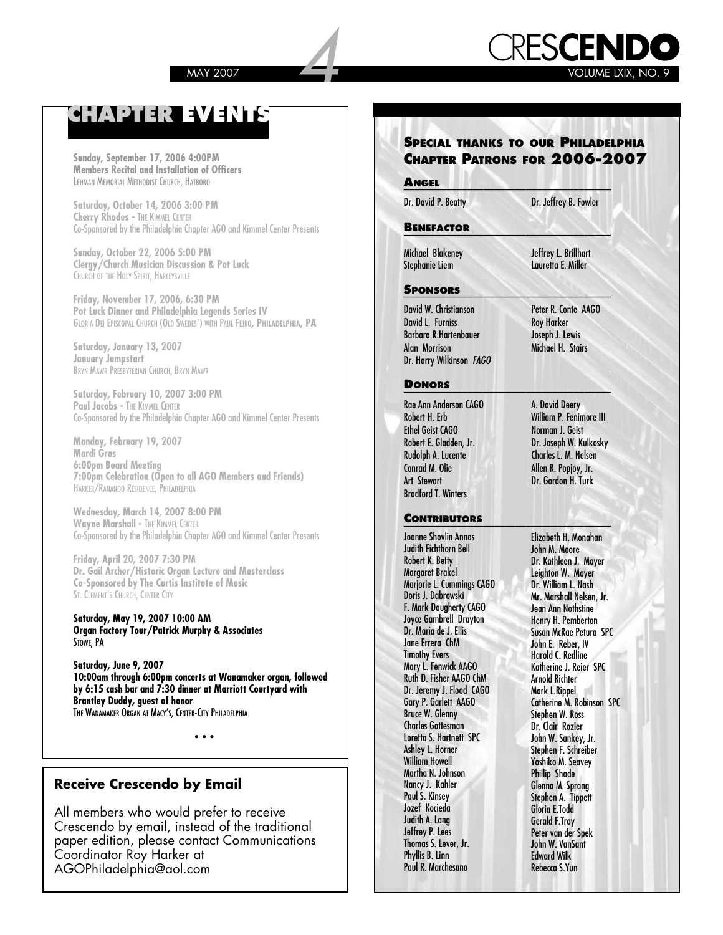

### **CHAPTER EVENTS**

**Sunday, September 17, 2006 4:00PM Members Recital and Installation of Officers** LEHMAN MEMORIAL METHODIST CHURCH, HATBORO

**Saturday, October 14, 2006 3:00 PM Cherry Rhodes -** THE KIMMEL CENTER Co-Sponsored by the Philadelphia Chapter AGO and Kimmel Center Presents

**Sunday, October 22, 2006 5:00 PM Clergy/Church Musician Discussion & Pot Luck** CHURCH OF THE HOLY SPIRIT, HARLEYSVILLE

**Friday, November 17, 2006, 6:30 PM Pot Luck Dinner and Philadelphia Legends Series IV** GLORIA DEI EPISCOPAL CHURCH (OLD SWEDES') WITH PAUL FEJKO**, PHILADELPHIA, PA**

**Saturday, January 13, 2007 January Jumpstart** BRYN MAWR PRESBYTERIAN CHURCH, BRYN MAWR

**Saturday, February 10, 2007 3:00 PM Paul Jacobs -** THE KIMMEL CENTER Co-Sponsored by the Philadelphia Chapter AGO and Kimmel Center Presents

**Monday, February 19, 2007 Mardi Gras 6:00pm Board Meeting 7:00pm Celebration (Open to all AGO Members and Friends)** HARKER/RANANDO RESIDENCE, PHILADELPHIA

**Wednesday, March 14, 2007 8:00 PM Wayne Marshall - THE KIMMEL CENTER** Co-Sponsored by the Philadelphia Chapter AGO and Kimmel Center Presents

**Friday, April 20, 2007 7:30 PM Dr. Gail Archer/Historic Organ Lecture and Masterclass Co-Sponsored by The Curtis Institute of Music** ST. CLEMENT'S CHURCH, CENTER CITY

**Saturday, May 19, 2007 10:00 AM Organ Factory Tour/Patrick Murphy & Associates** STOWE, PA

**Saturday, June 9, 2007 10:00am through 6:00pm concerts at Wanamaker organ, followed by 6:15 cash bar and 7:30 dinner at Marriott Courtyard with Brantley Duddy, guest of honor** THE WANAMAKER ORGAN AT MACY'S, CENTER-CITY PHILADELPHIA

• • •

#### **Receive Crescendo by Email**

All members who would prefer to receive Crescendo by email, instead of the traditional paper edition, please contact Communications Coordinator Roy Harker at AGOPhiladelphia@aol.com

### **SPECIAL THANKS TO OUR PHILADELPHIA CHAPTER PATRONS FOR 2006-2007**

#### **A**\_\_\_\_\_\_\_\_\_\_\_\_\_\_\_\_\_\_\_\_\_\_\_\_\_\_\_\_\_\_\_\_\_\_\_\_\_\_\_ **NGEL**

Dr. David P. Beatty Dr. Jeffrey B. Fowler

#### **B**\_\_\_\_\_\_\_\_\_\_\_\_\_\_\_\_\_\_\_\_\_\_\_\_\_\_\_\_\_\_\_\_\_\_\_\_\_\_\_ **ENEFACTOR**

Michael Blakeney Jeffrey L. Brillhart

#### **S**\_\_\_\_\_\_\_\_\_\_\_\_\_\_\_\_\_\_\_\_\_\_\_\_\_\_\_\_\_\_\_\_\_\_\_\_\_\_\_ **PONSORS**

David W. Christianson Peter R. Conte AAGO David L. Furniss Roy Harker Barbara R.Hartenbauer Joseph J. Lewis Alan Morrison Dr. Harry Wilkinson **FAGO**

#### **D**\_\_\_\_\_\_\_\_\_\_\_\_\_\_\_\_\_\_\_\_\_\_\_\_\_\_\_\_\_\_\_\_\_\_\_\_\_\_\_ **ONORS**

Rae Ann Anderson CAGO A. David Deery Ethel Geist CAGO<br>Robert E. Gladden, Jr. Rudolph A. Lucente<br>Conrad M. Olie Conrad M. Olie Allen R. Popiov. Jr. Art Stewart Dr. Gordon H. Turk Bradford T. Winters

#### **C**\_\_\_\_\_\_\_\_\_\_\_\_\_\_\_\_\_\_\_\_\_\_\_\_\_\_\_\_\_\_\_\_\_\_\_\_\_\_\_ **ONTRIBUTORS**

**Remaining 3** Joanne Shovlin Annas Judith Fichthorn Bell Robert K. Betty Margaret Brakel Marjorie L. Cummings CAGO Doris J. Dabrowski F. Mark Daugherty CAGO Joyce Gambrell Drayton Dr. Maria de J. Ellis Jane Errera ChM Mary L. Fenwick AAGO Ruth D. Fisher AAGO ChM Dr. Jeremy J. Flood CAGO Gary P. Garlett AAGO Bruce W. Glenny Charles Gottesman Loretta S. Hartnett SPC Ashley L. Horner William Howell Martha N. Johnson Nancy J. Kahler Paul S. Kinsey Jozef Kocieda Judith A. Lang Jeffrey P. Lees Thomas S. Lever, Jr. Phyllis B. Linn Paul R. Marchesano

Lauretta E. Miller

Robert H. Erb William P. Fenimore III Robert E. Gladden, Jr. Dr. Joseph W. Kulkosky Allen R. Popjoy, Jr.

> Elizabeth H. Monahan John M. Moore Dr. Kathleen J. Moyer Leighton W. Moyer Dr. William L. Nash Mr. Marshall Nelsen, Jr. Jean Ann Nothstine Henry H. Pemberton Susan McRae Petura SPC John E. Reber, IV Harold C. Redline Katherine J. Reier SPC Arnold Richter Mark L.Rippel Catherine M. Robinson SPC Stephen W. Ross Dr. Clair Rozier John W. Sankey, Jr. Stephen F. Schreiber Yoshiko M. Seavey Phillip Shade Glenna M. Sprang Stephen A. Tippett Gloria E.Todd Gerald F.Troy Peter van der Spek John W. VanSant Edward Wilk Rebecca S.Yun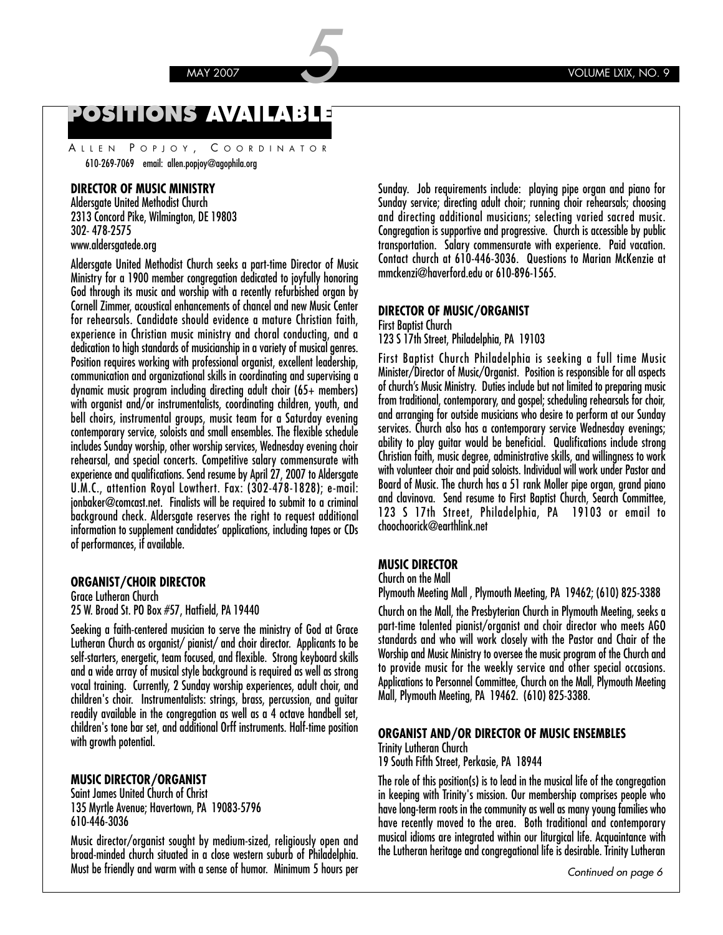### **POSITIONS AVAILABLE**

A LLEN P OPJOY , C OORDINATOR 610-269-7069 email: allen.popjoy@agophila.org

#### **DIRECTOR OF MUSIC MINISTRY**

Aldersgate United Methodist Church 2313 Concord Pike, Wilmington, DE 19803 302- 478-2575 www.aldersgatede.org

Aldersgate United Methodist Church seeks a part-time Director of Music Ministry for a 1900 member congregation dedicated to joyfully honoring God through its music and worship with a recently refurbished organ by Cornell Zimmer, acoustical enhancements of chancel and new Music Center for rehearsals. Candidate should evidence a mature Christian faith, experience in Christian music ministry and choral conducting, and a dedication to high standards of musicianship in a variety of musical genres. Position requires working with professional organist, excellent leadership, communication and organizational skills in coordinating and supervising a dynamic music program including directing adult choir (65+ members) with organist and/or instrumentalists, coordinating children, youth, and bell choirs, instrumental groups, music team for a Saturday evening contemporary service, soloists and small ensembles. The flexible schedule includes Sunday worship, other worship services, Wednesday evening choir rehearsal, and special concerts. Competitive salary commensurate with experience and qualifications. Send resume by April 27, 2007 to Aldersgate U.M.C., attention Royal Lowthert. Fax: (302-478-1828); e-mail: jonbaker@comcast.net. Finalists will be required to submit to a criminal background check. Aldersgate reserves the right to request additional information to supplement candidates' applications, including tapes or CDs of performances, if available.

#### **ORGANIST/CHOIR DIRECTOR**

Grace Lutheran Church 25 W. Broad St. PO Box #57, Hatfield, PA 19440

Seeking a faith-centered musician to serve the ministry of God at Grace Lutheran Church as organist/ pianist/ and choir director. Applicants to be self-starters, energetic, team focused, and flexible. Strong keyboard skills and a wide array of musical style background is required as well as strong vocal training. Currently, 2 Sunday worship experiences, adult choir, and children's choir. Instrumentalists: strings, brass, percussion, and guitar readily available in the congregation as well as a 4 octave handbell set, children's tone bar set, and additional Orff instruments. Half-time position with growth potential.

#### **MUSIC DIRECTOR/ORGANIST**

Saint James United Church of Christ 135 Myrtle Avenue; Havertown, PA 19083-5796 610-446-3036

Music director/organist sought by medium-sized, religiously open and broad-minded church situated in a close western suburb of Philadelphia. Must be friendly and warm with a sense of humor. Minimum 5 hours per Sunday. Job requirements include: playing pipe organ and piano for Sunday service; directing adult choir; running choir rehearsals; choosing and directing additional musicians; selecting varied sacred music. Congregation is supportive and progressive. Church is accessible by public transportation. Salary commensurate with experience. Paid vacation. Contact church at 610-446-3036. Questions to Marian McKenzie at mmckenzi@haverford.edu or 610-896-1565.

#### **DIRECTOR OF MUSIC/ORGANIST**

First Baptist Church

123 S 17th Street, Philadelphia, PA 19103

First Baptist Church Philadelphia is seeking a full time Music Minister/Director of Music/Organist. Position is responsible for all aspects of church's Music Ministry. Duties include but not limited to preparing music from traditional, contemporary, and gospel; scheduling rehearsals for choir, and arranging for outside musicians who desire to perform at our Sunday services. Church also has a contemporary service Wednesday evenings; ability to play guitar would be beneficial. Qualifications include strong Christian faith, music degree, administrative skills, and willingness to work with volunteer choir and paid soloists. Individual will work under Pastor and Board of Music. The church has a 51 rank Moller pipe organ, grand piano and clavinova. Send resume to First Baptist Church, Search Committee, 123 S 17th Street, Philadelphia, PA 19103 or email to choochoorick@earthlink.net

#### **MUSIC DIRECTOR**

Church on the Mall

Plymouth Meeting Mall , Plymouth Meeting, PA 19462; (610) 825-3388

Church on the Mall, the Presbyterian Church in Plymouth Meeting, seeks a part-time talented pianist/organist and choir director who meets AGO standards and who will work closely with the Pastor and Chair of the Worship and Music Ministry to oversee the music program of the Church and to provide music for the weekly service and other special occasions. Applications to Personnel Committee, Church on the Mall, Plymouth Meeting Mall, Plymouth Meeting, PA 19462. (610) 825-3388.

#### **ORGANIST AND/OR DIRECTOR OF MUSIC ENSEMBLES**

Trinity Lutheran Church

19 South Fifth Street, Perkasie, PA 18944

The role of this position(s) is to lead in the musical life of the congregation in keeping with Trinity's mission. Our membership comprises people who have long-term roots in the community as well as many young families who have recently moved to the area. Both traditional and contemporary musical idioms are integrated within our liturgical life. Acquaintance with the Lutheran heritage and congregational life is desirable. Trinity Lutheran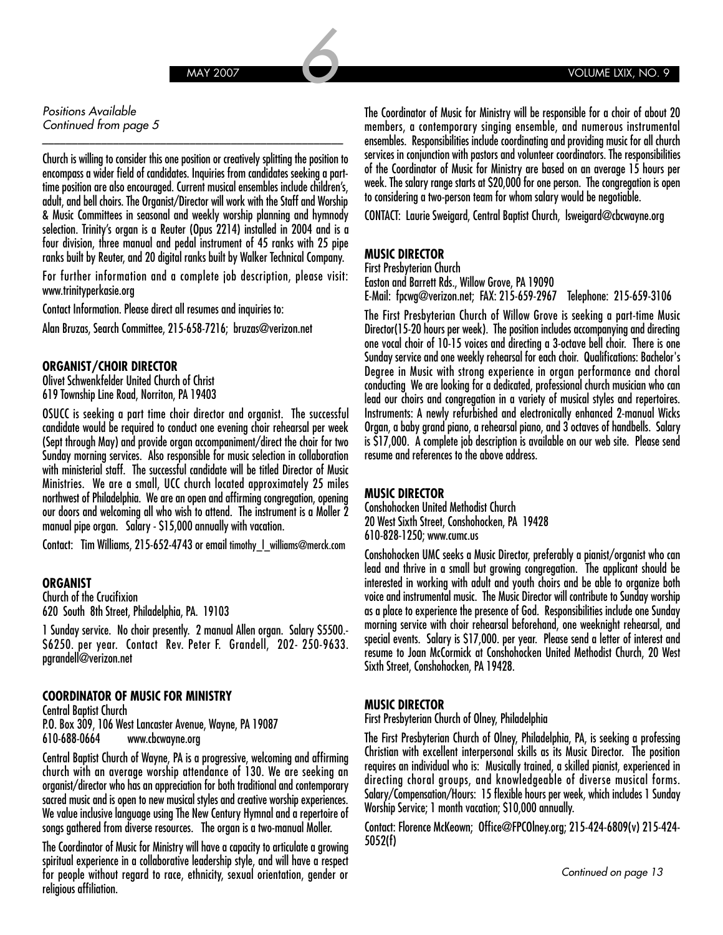#### Positions Available Continued from page 5

Church is willing to consider this one position or creatively splitting the position to encompass a wider field of candidates. Inquiries from candidates seeking a parttime position are also encouraged. Current musical ensembles include children's, adult, and bell choirs. The Organist/Director will work with the Staff and Worship & Music Committees in seasonal and weekly worship planning and hymnody selection. Trinity's organ is a Reuter (Opus 2214) installed in 2004 and is a four division, three manual and pedal instrument of 45 ranks with 25 pipe ranks built by Reuter, and 20 digital ranks built by Walker Technical Company.

\_\_\_\_\_\_\_\_\_\_\_\_\_\_\_\_\_\_\_\_\_\_\_\_\_\_\_\_\_\_\_\_\_\_\_\_\_\_\_\_\_\_\_\_\_\_\_\_\_\_\_

For further information and a complete job description, please visit: www.trinityperkasie.org

Contact Information. Please direct all resumes and inquiries to:

Alan Bruzas, Search Committee, 215-658-7216; bruzas@verizon.net

#### **ORGANIST/CHOIR DIRECTOR**

Olivet Schwenkfelder United Church of Christ 619 Township Line Road, Norriton, PA 19403

OSUCC is seeking a part time choir director and organist. The successful candidate would be required to conduct one evening choir rehearsal per week (Sept through May) and provide organ accompaniment/direct the choir for two Sunday morning services. Also responsible for music selection in collaboration with ministerial staff. The successful candidate will be titled Director of Music Ministries. We are a small, UCC church located approximately 25 miles northwest of Philadelphia. We are an open and affirming congregation, opening our doors and welcoming all who wish to attend. The instrument is a Moller 2 manual pipe organ. Salary - \$15,000 annually with vacation.

Contact: Tim Williams, 215-652-4743 or email timothy\_l\_williams@merck.com

#### **ORGANIST**

Church of the Crucifixion 620 South 8th Street, Philadelphia, PA. 19103

1 Sunday service. No choir presently. 2 manual Allen organ. Salary \$5500.- \$6250. per year. Contact Rev. Peter F. Grandell, 202- 250-9633. pgrandell@verizon.net

#### **COORDINATOR OF MUSIC FOR MINISTRY**

Central Baptist Church P.O. Box 309, 106 West Lancaster Avenue, Wayne, PA 19087 610-688-0664 www.cbcwayne.org

Central Baptist Church of Wayne, PA is a progressive, welcoming and affirming church with an average worship attendance of 130. We are seeking an organist/director who has an appreciation for both traditional and contemporary sacred music and is open to new musical styles and creative worship experiences. We value inclusive language using The New Century Hymnal and a repertoire of songs gathered from diverse resources. The organ is a two-manual Moller.

The Coordinator of Music for Ministry will have a capacity to articulate a growing spiritual experience in a collaborative leadership style, and will have a respect for people without regard to race, ethnicity, sexual orientation, gender or religious affiliation.

The Coordinator of Music for Ministry will be responsible for a choir of about 20 members, a contemporary singing ensemble, and numerous instrumental ensembles. Responsibilities include coordinating and providing music for all church services in conjunction with pastors and volunteer coordinators. The responsibilities of the Coordinator of Music for Ministry are based on an average 15 hours per week. The salary range starts at \$20,000 for one person. The congregation is open to considering a two-person team for whom salary would be negotiable.

CONTACT: Laurie Sweigard, Central Baptist Church, lsweigard@cbcwayne.org

#### **MUSIC DIRECTOR**

First Presbyterian Church

Easton and Barrett Rds., Willow Grove, PA 19090

E-Mail: fpcwg@verizon.net; FAX: 215-659-2967 Telephone: 215-659-3106

The First Presbyterian Church of Willow Grove is seeking a part-time Music Director(15-20 hours per week). The position includes accompanying and directing one vocal choir of 10-15 voices and directing a 3-octave bell choir. There is one Sunday service and one weekly rehearsal for each choir. Qualifications: Bachelor's Degree in Music with strong experience in organ performance and choral conducting We are looking for a dedicated, professional church musician who can lead our choirs and congregation in a variety of musical styles and repertoires. Instruments: A newly refurbished and electronically enhanced 2-manual Wicks Organ, a baby grand piano, a rehearsal piano, and 3 octaves of handbells. Salary is \$17,000. A complete job description is available on our web site. Please send resume and references to the above address.

#### **MUSIC DIRECTOR**

Conshohocken United Methodist Church 20 West Sixth Street, Conshohocken, PA 19428 610-828-1250; www.cumc.us

Conshohocken UMC seeks a Music Director, preferably a pianist/organist who can lead and thrive in a small but growing congregation. The applicant should be interested in working with adult and youth choirs and be able to organize both voice and instrumental music. The Music Director will contribute to Sunday worship as a place to experience the presence of God. Responsibilities include one Sunday morning service with choir rehearsal beforehand, one weeknight rehearsal, and special events. Salary is \$17,000. per year. Please send a letter of interest and resume to Joan McCormick at Conshohocken United Methodist Church, 20 West Sixth Street, Conshohocken, PA 19428.

#### **MUSIC DIRECTOR**

First Presbyterian Church of Olney, Philadelphia

The First Presbyterian Church of Olney, Philadelphia, PA, is seeking a professing Christian with excellent interpersonal skills as its Music Director. The position requires an individual who is: Musically trained, a skilled pianist, experienced in directing choral groups, and knowledgeable of diverse musical forms. Salary/Compensation/Hours: 15 flexible hours per week, which includes 1 Sunday Worship Service; 1 month vacation; \$10,000 annually.

Contact: Florence McKeown; Office@FPCOlney.org; 215-424-6809(v) 215-424- 5052(f)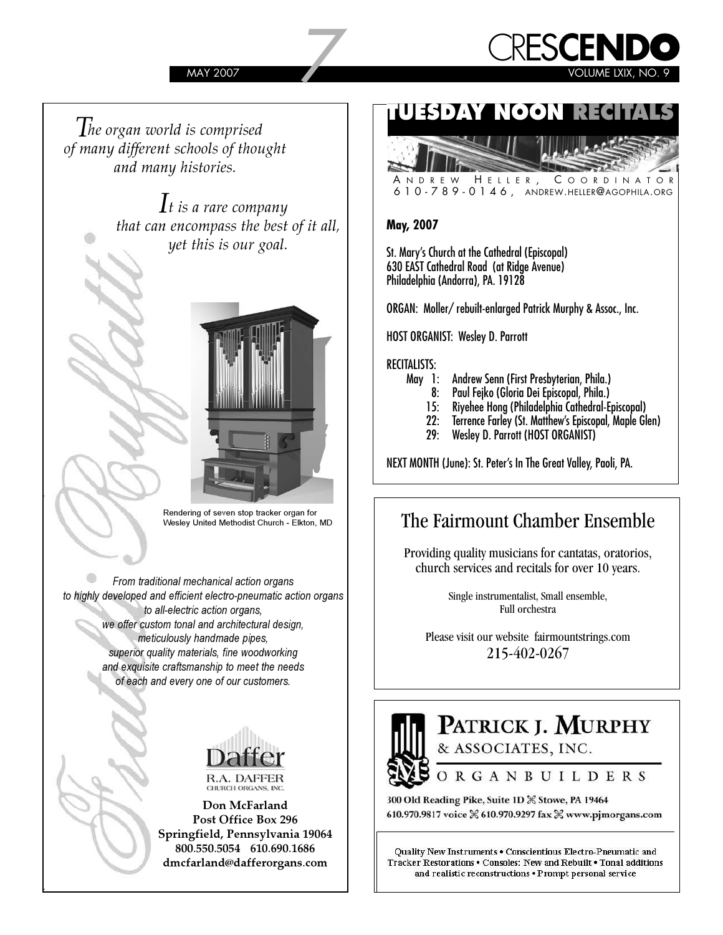

*The organ world is comprised of many different schools of thought and many histories.*

> *It is a rare company that can encompass the best of it all, yet this is our goal.*



Rendering of seven stop tracker organ for Wesley United Methodist Church - Elkton, MD

*From traditional mechanical action organs to highly developed and efficient electro-pneumatic action organs to all-electric action organs, we offer custom tonal and architectural design, meticulously handmade pipes, superior quality materials, fine woodworking and exquisite craftsmanship to meet the needs of each and every one of our customers.*



**Don McFarland Post Office Box 296 Springfield, Pennsylvania 19064 800.550.5054 610.690.1686 dmcfarland@dafferorgans.com**

### **TUESDAY NOON RECITALS**



A NDREW H ELLER , C OORDINATOR 610-789-0146, ANDREW.HELLER@AGOPHILA.ORG

#### **May, 2007**

St. Mary's Church at the Cathedral (Episcopal) 630 EAST Cathedral Road (at Ridge Avenue) Philadelphia (Andorra), PA. 19128

ORGAN: Moller/ rebuilt-enlarged Patrick Murphy & Assoc., Inc.

HOST ORGANIST: Wesley D. Parrott

#### RECITALISTS:

- May 1: Andrew Senn (First Presbyterian, Phila.)
	- 8: Paul Fejko (Gloria Dei Episcopal, Phila.)
	- 15: Riyehee Hong (Philadelphia Cathedral-Episcopal)
	- 22: Terrence Farley (St. Matthew's Episcopal, Maple Glen)
	- Wesley D. Parrott (HOST ORGANIST)

NEXT MONTH (June): St. Peter's In The Great Valley, Paoli, PA.

### The Fairmount Chamber Ensemble

Providing quality musicians for cantatas, oratorios, church services and recitals for over 10 years.

> Single instrumentalist, Small ensemble, Full orchestra

Please visit our website fairmountstrings.com 215-402-0267

### PATRICK J. MURPHY & ASSOCIATES, INC. ORGANBUILDERS

300 Old Reading Pike, Suite 1D % Stowe, PA 19464 610.970.9817 voice % 610.970.9297 fax % www.pjmorgans.com

Quality New Instruments . Conscientious Electro-Pneumatic and Tracker Restorations . Consoles: New and Rebuilt . Tonal additions and realistic reconstructions . Prompt personal service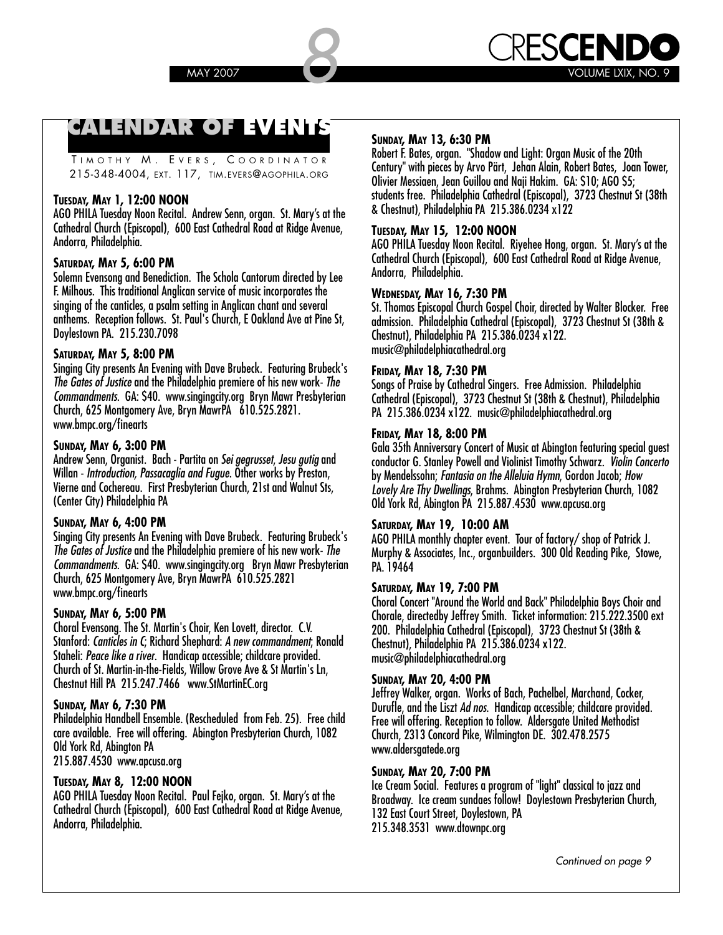### **CALENDAR OF EVENTS**

TIMOTHY M. EVERS, COORDINATOR 215-348-4004, EXT. 117, TIM.EVERS@AGOPHILA.ORG

#### **TUESDAY, MAY 1, 12:00 NOON**

AGO PHILA Tuesday Noon Recital. Andrew Senn, organ. St. Mary's at the Cathedral Church (Episcopal), 600 East Cathedral Road at Ridge Avenue, Andorra, Philadelphia.

#### **SATURDAY, MAY 5, 6:00 PM**

Solemn Evensong and Benediction. The Schola Cantorum directed by Lee F. Milhous. This traditional Anglican service of music incorporates the singing of the canticles, a psalm setting in Anglican chant and several anthems. Reception follows. St. Paul's Church, E Oakland Ave at Pine St, Doylestown PA. 215.230.7098

#### **SATURDAY, MAY 5, 8:00 PM**

Singing City presents An Evening with Dave Brubeck. Featuring Brubeck's **The Gates of Justice** and the Philadelphia premiere of his new work- **The Commandments**. GA: \$40. www.singingcity.org Bryn Mawr Presbyterian Church, 625 Montgomery Ave, Bryn MawrPA 610.525.2821. www.bmpc.org/finearts

#### **SUNDAY, MAY 6, 3:00 PM**

Andrew Senn, Organist. Bach - Partita on **Sei gegrusset**, **Jesu gutig** and Willan - **Introduction, Passacaglia and Fugue**. Other works by Preston, Vierne and Cochereau. First Presbyterian Church, 21st and Walnut Sts, (Center City) Philadelphia PA

#### **SUNDAY, MAY 6, 4:00 PM**

Singing City presents An Evening with Dave Brubeck. Featuring Brubeck's **The Gates of Justice** and the Philadelphia premiere of his new work- **The Commandments**. GA: \$40. www.singingcity.org Bryn Mawr Presbyterian Church, 625 Montgomery Ave, Bryn MawrPA 610.525.2821 www.bmpc.org/finearts

#### **SUNDAY, MAY 6, 5:00 PM**

Choral Evensong. The St. Martin's Choir, Ken Lovett, director. C.V. Stanford: **Canticles in C**; Richard Shephard: **A new commandment**; Ronald Staheli: **Peace like a river**. Handicap accessible; childcare provided. Church of St. Martin-in-the-Fields, Willow Grove Ave & St Martin's Ln, Chestnut Hill PA 215.247.7466 www.StMartinEC.org

#### **SUNDAY, MAY 6, 7:30 PM**

Philadelphia Handbell Ensemble. (Rescheduled from Feb. 25). Free child care available. Free will offering. Abington Presbyterian Church, 1082 Old York Rd, Abington PA 215.887.4530 www.apcusa.org

#### **TUESDAY, MAY 8, 12:00 NOON**

AGO PHILA Tuesday Noon Recital. Paul Fejko, organ. St. Mary's at the Cathedral Church (Episcopal), 600 East Cathedral Road at Ridge Avenue, Andorra, Philadelphia.

#### **SUNDAY, MAY 13, 6:30 PM**

Robert F. Bates, organ. "Shadow and Light: Organ Music of the 20th Century" with pieces by Arvo Pärt, Jehan Alain, Robert Bates, Joan Tower, Olivier Messiaen, Jean Guillou and Naji Hakim. GA: \$10; AGO \$5; students free. Philadelphia Cathedral (Episcopal), 3723 Chestnut St (38th & Chestnut), Philadelphia PA 215.386.0234 x122

#### **TUESDAY, MAY 15, 12:00 NOON**

AGO PHILA Tuesday Noon Recital. Riyehee Hong, organ. St. Mary's at the Cathedral Church (Episcopal), 600 East Cathedral Road at Ridge Avenue, Andorra, Philadelphia.

#### **WEDNESDAY, MAY 16, 7:30 PM**

St. Thomas Episcopal Church Gospel Choir, directed by Walter Blocker. Free admission. Philadelphia Cathedral (Episcopal), 3723 Chestnut St (38th & Chestnut), Philadelphia PA 215.386.0234 x122. music@philadelphiacathedral.org

#### **FRIDAY, MAY 18, 7:30 PM**

Songs of Praise by Cathedral Singers. Free Admission. Philadelphia Cathedral (Episcopal), 3723 Chestnut St (38th & Chestnut), Philadelphia PA 215.386.0234 x122. music@philadelphiacathedral.org

#### **FRIDAY, MAY 18, 8:00 PM**

Gala 35th Anniversary Concert of Music at Abington featuring special guest conductor G. Stanley Powell and Violinist Timothy Schwarz. **Violin Concerto** by Mendelssohn; **Fantasia on the Alleluia Hymn**, Gordon Jacob; **How Lovely Are Thy Dwellings**, Brahms. Abington Presbyterian Church, 1082 Old York Rd, Abington PA 215.887.4530 www.apcusa.org

#### **SATURDAY, MAY 19, 10:00 AM**

AGO PHILA monthly chapter event. Tour of factory/ shop of Patrick J. Murphy & Associates, Inc., organbuilders. 300 Old Reading Pike, Stowe, PA. 19464

#### **SATURDAY, MAY 19, 7:00 PM**

Choral Concert "Around the World and Back" Philadelphia Boys Choir and Chorale, directedby Jeffrey Smith. Ticket information: 215.222.3500 ext 200. Philadelphia Cathedral (Episcopal), 3723 Chestnut St (38th & Chestnut), Philadelphia PA 215.386.0234 x122. music@philadelphiacathedral.org

#### **SUNDAY, MAY 20, 4:00 PM**

Jeffrey Walker, organ. Works of Bach, Pachelbel, Marchand, Cocker, Durufle, and the Liszt **Ad nos**. Handicap accessible; childcare provided. Free will offering. Reception to follow. Aldersgate United Methodist Church, 2313 Concord Pike, Wilmington DE. 302.478.2575 www.aldersgatede.org

#### **SUNDAY, MAY 20, 7:00 PM**

Ice Cream Social. Features a program of "light" classical to jazz and Broadway. Ice cream sundaes follow! Doylestown Presbyterian Church, 132 East Court Street, Doylestown, PA 215.348.3531 www.dtownpc.org

Continued on page 9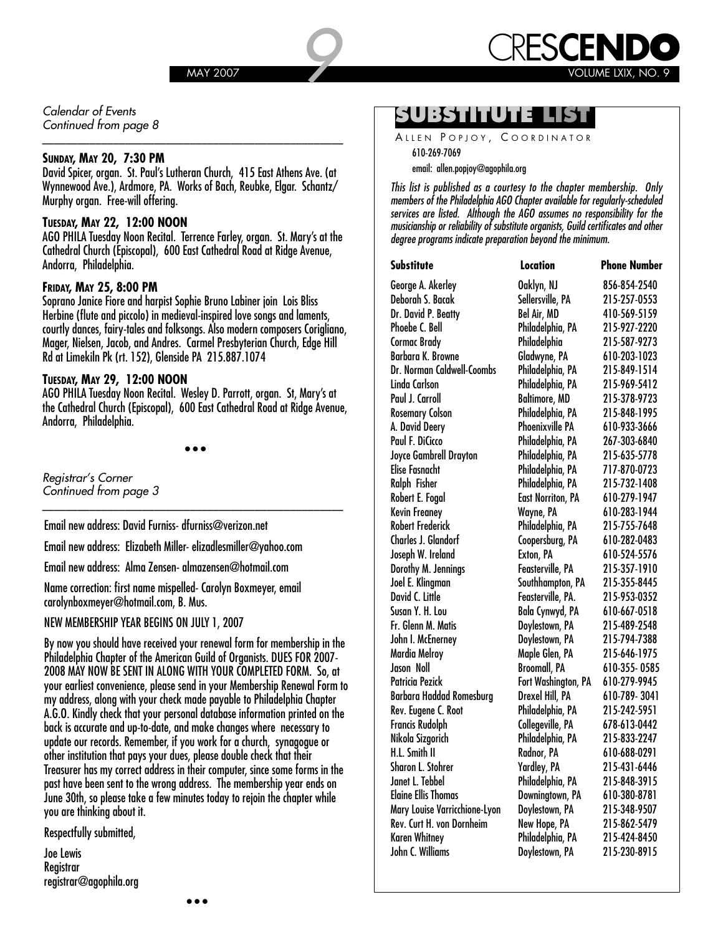

Calendar of Events Continued from page 8

email: allen.popjoy@agophila.org **SUNDAY, MAY 20, 7:30 PM**  David Spicer, organ. St. Paul's Lutheran Church, 415 East Athens Ave. (at Wynnewood Ave.), Ardmore, PA. Works of Bach, Reubke, Elgar. Schantz/ Murphy organ. Free-will offering.

\_\_\_\_\_\_\_\_\_\_\_\_\_\_\_\_\_\_\_\_\_\_\_\_\_\_\_\_\_\_\_\_\_\_\_\_\_\_\_\_\_\_\_\_\_\_\_\_\_\_\_

#### **TUESDAY, MAY 22, 12:00 NOON**

AGO PHILA Tuesday Noon Recital. Terrence Farley, organ. St. Mary's at the Cathedral Church (Episcopal), 600 East Cathedral Road at Ridge Avenue, Andorra, Philadelphia.

#### **FRIDAY, MAY 25, 8:00 PM**

Soprano Janice Fiore and harpist Sophie Bruno Labiner join Lois Bliss Herbine (flute and piccolo) in medieval-inspired love songs and laments, courtly dances, fairy-tales and folksongs. Also modern composers Corigliano, Mager, Nielsen, Jacob, and Andres. Carmel Presbyterian Church, Edge Hill Rd at Limekiln Pk (rt. 152), Glenside PA 215.887.1074

#### **TUESDAY, MAY 29, 12:00 NOON**

AGO PHILA Tuesday Noon Recital. Wesley D. Parrott, organ. St, Mary's at the Cathedral Church (Episcopal), 600 East Cathedral Road at Ridge Avenue, Andorra, Philadelphia.

• • •

\_\_\_\_\_\_\_\_\_\_\_\_\_\_\_\_\_\_\_\_\_\_\_\_\_\_\_\_\_\_\_\_\_\_\_\_\_\_\_\_\_\_\_\_\_\_\_\_\_\_\_

Registrar's Corner Continued from page 3

Email new address: David Furniss- dfurniss@verizon.net

Email new address: Elizabeth Miller- elizadlesmiller@yahoo.com

Email new address: Alma Zensen- almazensen@hotmail.com

Name correction: first name mispelled- Carolyn Boxmeyer, email carolynboxmeyer@hotmail.com, B. Mus.

NEW MEMBERSHIP YEAR BEGINS ON JULY 1, 2007

By now you should have received your renewal form for membership in the Philadelphia Chapter of the American Guild of Organists. DUES FOR 2007- 2008 MAY NOW BE SENT IN ALONG WITH YOUR COMPLETED FORM. So, at your earliest convenience, please send in your Membership Renewal Form to my address, along with your check made payable to Philadelphia Chapter A.G.O. Kindly check that your personal database information printed on the back is accurate and up-to-date, and make changes where necessary to update our records. Remember, if you work for a church, synagogue or other institution that pays your dues, please double check that their Treasurer has my correct address in their computer, since some forms in the past have been sent to the wrong address. The membership year ends on June 30th, so please take a few minutes today to rejoin the chapter while you are thinking about it.

Respectfully submitted,

Joe Lewis **Registrar** registrar@agophila.org

### **SUBSTITUTE LIST**

ALLEN POPJOY, COORDINATOR 610-269-7069

**This list is published as a courtesy to the chapter membership. Only members of the Philadelphia AGO Chapter available for regularly-scheduled services are listed. Although the AGO assumes no responsibility for the musicianship or reliability of substitute organists, Guild certificates and other degree programs indicate preparation beyond the minimum.** 

| Substitute                        | Location                 | <b>Phone Number</b> |
|-----------------------------------|--------------------------|---------------------|
| George A. Akerley                 | Oaklyn, NJ               | 856-854-2540        |
| Deborah S. Bacak                  | Sellersville, PA         | 215-257-0553        |
| Dr. David P. Beatty               | Bel Air, MD              | 410-569-5159        |
| Phoebe C. Bell                    | Philadelphia, PA         | 215-927-2220        |
| Cormac Brady                      | Philadelphia             | 215-587-9273        |
| <b>Barbara K. Browne</b>          | Gladwyne, PA             | 610-203-1023        |
| <b>Dr. Norman Caldwell-Coombs</b> | Philadelphia, PA         | 215-849-1514        |
| Linda Carlson                     | Philadelphia, PA         | 215-969-5412        |
| Paul J. Carroll                   | Baltimore, MD            | 215-378-9723        |
| <b>Rosemary Colson</b>            | Philadelphia, PA         | 215-848-1995        |
| A. David Deery                    | Phoenixville PA          | 610-933-3666        |
| Paul F. DiCicco                   | Philadelphia, PA         | 267-303-6840        |
| Joyce Gambrell Drayton            | Philadelphia, PA         | 215-635-5778        |
| Elise Fasnacht                    | Philadelphia, PA         | 717-870-0723        |
| Ralph Fisher                      | Philadelphia, PA         | 215-732-1408        |
| Robert E. Fogal                   | <b>East Norriton, PA</b> | 610-279-1947        |
| Kevin Freaney                     | Wayne, PA                | 610-283-1944        |
| <b>Robert Frederick</b>           | Philadelphia, PA         | 215-755-7648        |
| <b>Charles J. Glandorf</b>        | Coopersburg, PA          | 610-282-0483        |
| Joseph W. Ireland                 | Exton, PA                | 610-524-5576        |
| Dorothy M. Jennings               | Feasterville, PA         | 215-357-1910        |
| Joel E. Klingman                  | Southhampton, PA         | 215-355-8445        |
| David C. Little                   | Feasterville, PA.        | 215-953-0352        |
| Susan Y. H. Lou                   | Bala Cynwyd, PA          | 610-667-0518        |
| Fr. Glenn M. Matis                | Doylestown, PA           | 215-489-2548        |
| John I. McEnerney                 | Doylestown, PA           | 215 794 7388        |
| Mardia Melroy                     | Maple Glen, PA           | 215-646-1975        |
| Jason Noll                        | <b>Broomall, PA</b>      | 610-355-0585        |
| Patricia Pezick                   | Fort Washington, PA      | 610-279-9945        |
| Barbara Haddad Romesburg          | Drexel Hill, PA          | 610-789-3041        |
| Rev. Eugene C. Root               | Philadelphia, PA         | 215-242-5951        |
| Francis Rudolph                   | Collegeville, PA         | 678-613-0442        |
| Nikola Sizgorich                  | Philadelphia, PA         | 215-833-2247        |
| H.L. Smith II                     | Radnor, PA               | 610-688-0291        |
| Sharon L. Stohrer                 | Yardley, PA              | 215-431-6446        |
| Janet L. Tebbel                   | Philadelphia, PA         | 215-848-3915        |
| <b>Elaine Ellis Thomas</b>        | Downingtown, PA          | 610-380-8781        |
| Mary Louise Varricchione-Lyon     | Doylestown, PA           | 215-348-9507        |
| Rev. Curt H. von Dornheim         | New Hope, PA             | 215-862-5479        |
| Karen Whitney                     | Philadelphia, PA         | 215-424-8450        |
| John C. Williams                  | Doylestown, PA           | 215-230-8915        |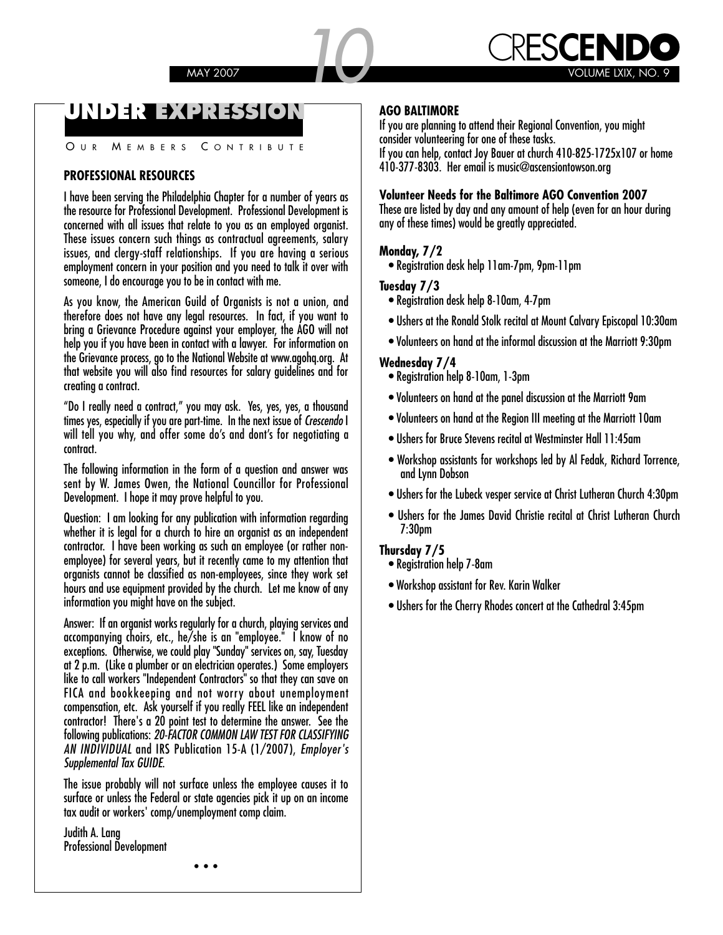### **UNDER EXPRESSION**

OUR MEMBERS CONTRIBUTE

#### **PROFESSIONAL RESOURCES**

I have been serving the Philadelphia Chapter for a number of years as the resource for Professional Development. Professional Development is concerned with all issues that relate to you as an employed organist. These issues concern such things as contractual agreements, salary issues, and clergy-staff relationships. If you are having a serious employment concern in your position and you need to talk it over with someone, I do encourage you to be in contact with me.

As you know, the American Guild of Organists is not a union, and therefore does not have any legal resources. In fact, if you want to bring a Grievance Procedure against your employer, the AGO will not help you if you have been in contact with a lawyer. For information on the Grievance process, go to the National Website at www.agohq.org. At that website you will also find resources for salary guidelines and for creating a contract.

"Do I really need a contract," you may ask. Yes, yes, yes, a thousand times yes, especially if you are part-time. In the next issue of **Crescendo** I will tell you why, and offer some do's and dont's for negotiating a contract.

The following information in the form of a question and answer was sent by W. James Owen, the National Councillor for Professional Development. I hope it may prove helpful to you.

Question: I am looking for any publication with information regarding whether it is legal for a church to hire an organist as an independent contractor. I have been working as such an employee (or rather nonemployee) for several years, but it recently came to my attention that organists cannot be classified as non-employees, since they work set hours and use equipment provided by the church. Let me know of any information you might have on the subject.

Answer: If an organist works regularly for a church, playing services and accompanying choirs, etc., he/she is an "employee." I know of no exceptions. Otherwise, we could play "Sunday" services on, say, Tuesday at 2 p.m. (Like a plumber or an electrician operates.) Some employers like to call workers "Independent Contractors" so that they can save on FICA and bookkeeping and not worry about unemployment compensation, etc. Ask yourself if you really FEEL like an independent contractor! There's a 20 point test to determine the answer. See the following publications: **20-FACTOR COMMON LAW TEST FOR CLASSIFYING AN INDIVIDUAL** and IRS Publication 15-A (1/2007), **Employer's Supplemental Tax GUIDE**.

The issue probably will not surface unless the employee causes it to surface or unless the Federal or state agencies pick it up on an income tax audit or workers' comp/unemployment comp claim.

Judith A. Lang Professional Development

### **AGO BALTIMORE**

If you are planning to attend their Regional Convention, you might consider volunteering for one of these tasks.

If you can help, contact Joy Bauer at church 410-825-1725x107 or home 410-377-8303. Her email is music@ascensiontowson.org

#### **Volunteer Needs for the Baltimore AGO Convention 2007**

These are listed by day and any amount of help (even for an hour during any of these times) would be greatly appreciated.

#### **Monday, 7/2**

• Registration desk help 11am-7pm, 9pm-11pm

#### **Tuesday 7/3**

- Registration desk help 8-10am, 4-7pm
- Ushers at the Ronald Stolk recital at Mount Calvary Episcopal 10:30am
- Volunteers on hand at the informal discussion at the Marriott 9:30pm

#### **Wednesday 7/4**

- Registration help 8-10am, 1-3pm
- Volunteers on hand at the panel discussion at the Marriott 9am
- Volunteers on hand at the Region III meeting at the Marriott 10am
- Ushers for Bruce Stevens recital at Westminster Hall 11:45am
- Workshop assistants for workshops led by Al Fedak, Richard Torrence, and Lynn Dobson
- Ushers for the Lubeck vesper service at Christ Lutheran Church 4:30pm
- Ushers for the James David Christie recital at Christ Lutheran Church 7:30pm

#### **Thursday 7/5**

- Registration help 7-8am
- Workshop assistant for Rev. Karin Walker
- Ushers for the Cherry Rhodes concert at the Cathedral 3:45pm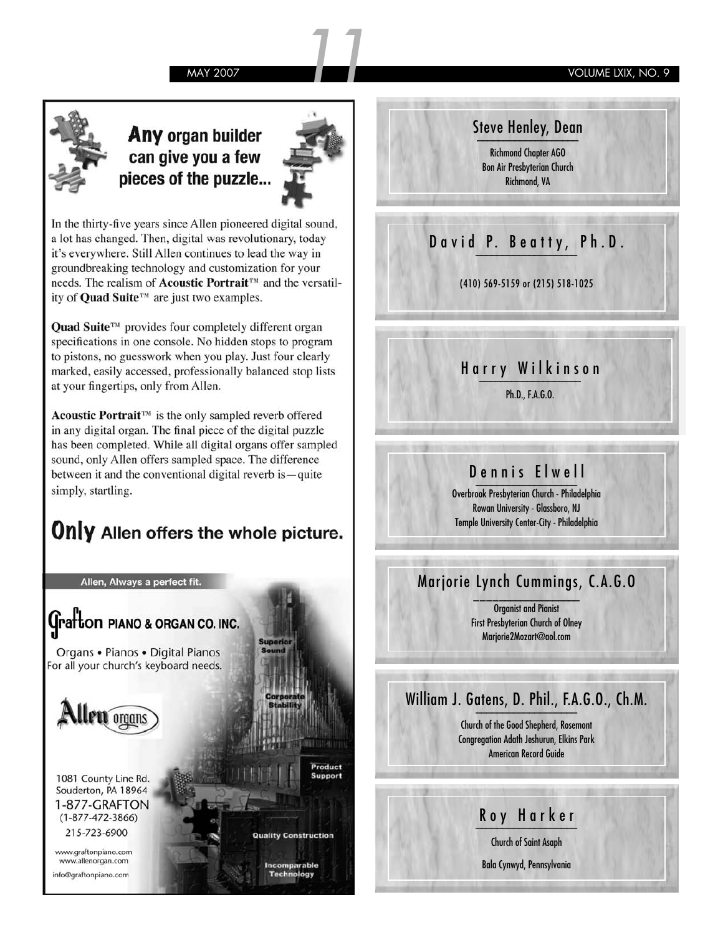MAY 2007 **11 VOLUME LXIX, NO. 9** 



### Any organ builder can give you a few pieces of the puzzle...



In the thirty-five years since Allen pioneered digital sound, a lot has changed. Then, digital was revolutionary, today it's everywhere. Still Allen continues to lead the way in groundbreaking technology and customization for your needs. The realism of **Acoustic Portrait**<sup>™</sup> and the versatility of Quad Suite™ are just two examples.

**Quad Suite™** provides four completely different organ specifications in one console. No hidden stops to program to pistons, no guesswork when you play. Just four clearly marked, easily accessed, professionally balanced stop lists at your fingertips, only from Allen.

Acoustic Portrait™ is the only sampled reverb offered in any digital organ. The final piece of the digital puzzle has been completed. While all digital organs offer sampled sound, only Allen offers sampled space. The difference between it and the conventional digital reverb is - quite simply, startling.

## **Only** Allen offers the whole picture.

Allen, Always a perfect fit.



Steve Henley, Dean **\_\_\_\_\_\_\_\_\_\_\_\_\_\_\_\_\_\_\_** Richmond Chapter AGO Bon Air Presbyterian Church Richmond, VA

### David P. Beatty, Ph.D.

(410) 569-5159 or (215) 518-1025

### Harry Wilkinson **\_\_\_\_\_\_\_\_\_\_\_\_\_\_\_\_\_\_\_**

Ph.D., F.A.G.O.

### Dennis Elwell **\_\_\_\_\_\_\_\_\_\_\_\_\_\_\_\_\_\_\_**

Overbrook Presbyterian Church - Philadelphia Rowan University - Glassboro, NJ Temple University Center-City - Philadelphia

### Marjorie Lynch Cummings, C.A.G.O **\_\_\_\_\_\_\_\_\_\_\_\_\_\_\_\_\_\_\_**

Organist and Pianist First Presbyterian Church of Olney Marjorie2Mozart@aol.com

### William J. Gatens, D. Phil., F.A.G.O., Ch.M. **\_\_\_\_\_\_\_\_\_\_\_\_\_\_\_\_\_\_\_**

Church of the Good Shepherd, Rosemont Congregation Adath Jeshurun, Elkins Park American Record Guide

# Roy Harker **\_\_\_\_\_\_\_\_\_\_\_\_\_\_\_\_\_\_\_**

Church of Saint Asaph

Bala Cynwyd, Pennsylvania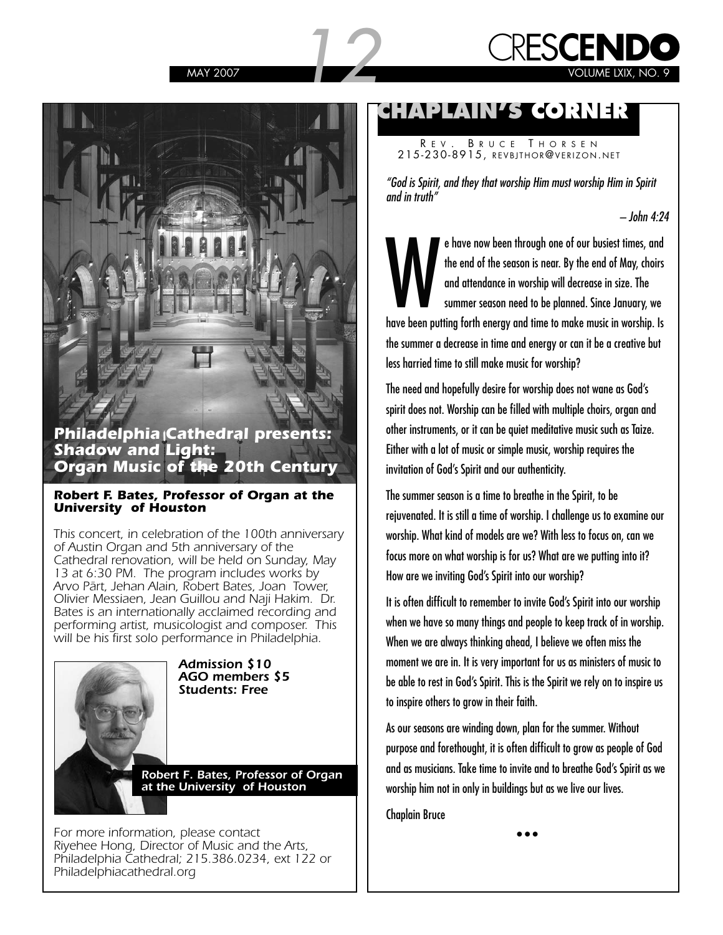



### **Philadelphia Cathedral presents: Shadow and Light: Organ Music of the 20th Century**

#### **Robert F. Bates, Professor of Organ at the University of Houston**

This concert, in celebration of the 100th anniversary of Austin Organ and 5th anniversary of the Cathedral renovation, will be held on Sunday, May 13 at 6:30 PM. The program includes works by Arvo Pärt, Jehan Alain, Robert Bates, Joan Tower, Olivier Messiaen, Jean Guillou and Naji Hakim. Dr. Bates is an internationally acclaimed recording and performing artist, musicologist and composer. This will be his first solo performance in Philadelphia.



**Admission \$10 AGO members \$5 Students: Free**

**Robert F. Bates, Professor of Organ at the University of Houston**

For more information, please contact Riyehee Hong, Director of Music and the Arts, Philadelphia Cathedral; 215.386.0234, ext 122 or Philadelphiacathedral.org

### **CHAPLAIN'S CORNER**

R E V . B RUCE T HORSEN 215-230-8915, REVBJTHOR@VERIZON . NET

**"God is Spirit, and they that worship Him must worship Him in Spirit and in truth"** 

**– John 4:24**

e have now been through one of our busiest times, and<br>the end of the season is near. By the end of May, choirs<br>and attendance in worship will decrease in size. The<br>summer season need to be planned. Since January, we<br>have b e have now been through one of our busiest times, and the end of the season is near. By the end of May, choirs and attendance in worship will decrease in size. The summer season need to be planned. Since January, we the summer a decrease in time and energy or can it be a creative but less harried time to still make music for worship?

The need and hopefully desire for worship does not wane as God's spirit does not. Worship can be filled with multiple choirs, organ and other instruments, or it can be quiet meditative music such as Taize. Either with a lot of music or simple music, worship requires the invitation of God's Spirit and our authenticity.

The summer season is a time to breathe in the Spirit, to be rejuvenated. It is still a time of worship. I challenge us to examine our worship. What kind of models are we? With less to focus on, can we focus more on what worship is for us? What are we putting into it? How are we inviting God's Spirit into our worship?

It is often difficult to remember to invite God's Spirit into our worship when we have so many things and people to keep track of in worship. When we are always thinking ahead, I believe we often miss the moment we are in. It is very important for us as ministers of music to be able to rest in God's Spirit. This is the Spirit we rely on to inspire us to inspire others to grow in their faith.

As our seasons are winding down, plan for the summer. Without purpose and forethought, it is often difficult to grow as people of God and as musicians. Take time to invite and to breathe God's Spirit as we worship him not in only in buildings but as we live our lives.

Chaplain Bruce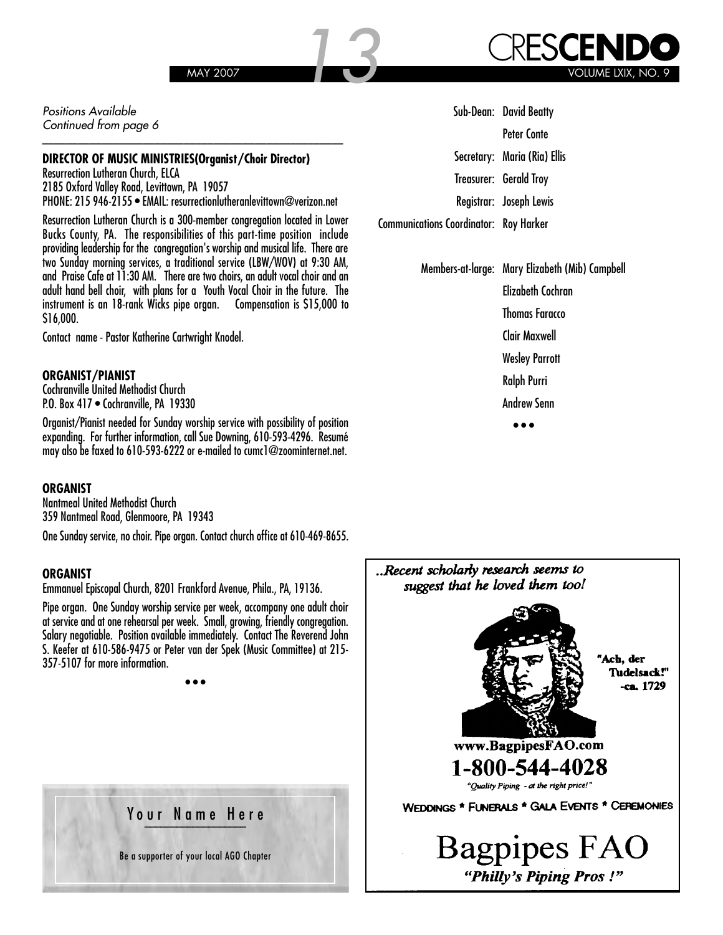Positions Available Continued from page 6

#### **DIRECTOR OF MUSIC MINISTRIES(Organist/Choir Director)**

Resurrection Lutheran Church, ELCA 2185 Oxford Valley Road, Levittown, PA 19057 PHONE: 215 946-2155 • EMAIL: resurrectionlutheranlevittown@verizon.net

\_\_\_\_\_\_\_\_\_\_\_\_\_\_\_\_\_\_\_\_\_\_\_\_\_\_\_\_\_\_\_\_\_\_\_\_\_\_\_\_\_\_\_\_\_\_\_\_\_\_\_

Resurrection Lutheran Church is a 300-member congregation located in Lower Bucks County, PA. The responsibilities of this part-time position include providing leadership for the congregation's worship and musical life. There are two Sunday morning services, a traditional service (LBW/WOV) at 9:30 AM, and Praise Cafe at 11:30 AM. There are two choirs, an adult vocal choir and an adult hand bell choir, with plans for a Youth Vocal Choir in the future. The instrument is an 18-rank Wicks pipe organ. Compensation is \$15,000 to \$16,000.

Contact name - Pastor Katherine Cartwright Knodel.

#### **ORGANIST/PIANIST**

Cochranville United Methodist Church P.O. Box 417 • Cochranville, PA 19330

Organist/Pianist needed for Sunday worship service with possibility of position expanding. For further information, call Sue Downing, 610-593-4296. Resumé may also be faxed to 610-593-6222 or e-mailed to cumc1@zoominternet.net.

#### **ORGANIST**

Nantmeal United Methodist Church 359 Nantmeal Road, Glenmoore, PA 19343

One Sunday service, no choir. Pipe organ. Contact church office at 610-469-8655.

#### **ORGANIST**

Emmanuel Episcopal Church, 8201 Frankford Avenue, Phila., PA, 19136.

Pipe organ. One Sunday worship service per week, accompany one adult choir at service and at one rehearsal per week. Small, growing, friendly congregation. Salary negotiable. Position available immediately. Contact The Reverend John S. Keefer at 610-586-9475 or Peter van der Spek (Music Committee) at 215- 357-5107 for more information.

• • •

**Ballon Free Philadelphia Chapter & Philadelphia Chapter & Philadelphia Chapter & Philadelphia Chapter & Philadelphia Chapter & Philadelphia Chapter & Philadelphia Chapter & Philadelphia Chapter & Philadelphia Chapter & Ph AGO Elections 2007**

> Dean: Alan Morrison Be a supporter of your local AGO Chapter

|                                               | Sub-Dean: David Beatty       |
|-----------------------------------------------|------------------------------|
|                                               | Peter Conte                  |
|                                               | Secretary: Maria (Ria) Ellis |
|                                               | Treasurer: Gerald Troy       |
|                                               | Registrar: Joseph Lewis      |
| <b>Communications Coordinator: Roy Harker</b> |                              |
|                                               |                              |

Members-at-large: Mary Elizabeth (Mib) Campbell Elizabeth Cochran

Thomas Faracco

Clair Maxwell

Wesley Parrott

Ralph Purri

Andrew Senn • • •